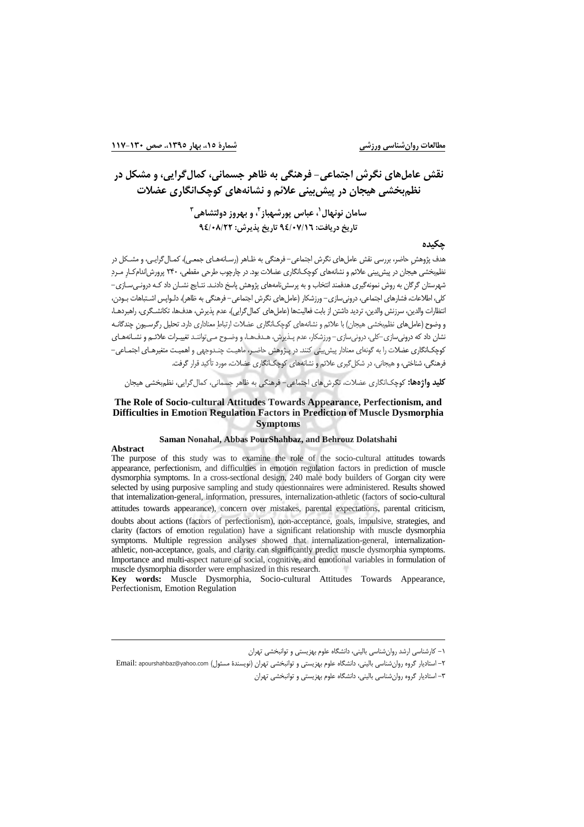مطالعات روان شناسي ورزشي

## نقش عاملهای نگرش اجتماعی- فرهنگی به ظاهر جسمانی، کمال گرایی، و مشکل در نظمیخشی هیجان در پیش بینی علائم و نشانههای کوچکانگاری عضلات

## سامان نونهال ٰ، عباس یورشهباز <sup>۲</sup>، و بهروز دولتشاهی <sup>۳</sup> تاريخ دريافت: ٩٤/٠٧/١٦ تاريخ پذيرش: ٩٤/٠٨/٢٢

### حكىدە

.<br>هدف پژوهش حاضر، بررسی نقش عامل های نگرش اجتماعی– فرهنگی به ظـاهر (رسـانههـای جمعـی)، کمـال گرایـی، و مشـکل در نظمبخشی هیجان در پیش بینی علائم و نشانههای کوچکانگاری عضلات بود. در چارچوب طرحی مقطعی، ۲۴۰ پرورش|ندام کـار مـردِ شهرستان گرگان به روش نمونهگیری هدفمند انتخاب و به پرسشنامههای پژوهش پاسخ دادنـد. نتـایج نشــان داد کـه درونــیسـازی– كلي، اطلاعات، فشارهاي اجتماعي، درونيسازي– ورزشكار (عاملهاي نگرش اجتماعي– فرهنگي به ظاهر)، دلـواپس اشـتباهات بـودن، انتظارات والدین، سرزش والدین، تردید داشتن از بابت فعالیتها (عامل های کمال گرایی)، عدم پذیرش، هدفها، تکانشـگری، راهبردهـا، و وضوح (عامل های نظم؛خشی هیجان) با علائم و نشانههای کوچک|نگاری عضلات ارتباط معناداری دارد. تحلیل رگرسیون چندگانـه نشان داد که درونیسازی-کلی، درونیسازی- ورزشکار، عدم پـذیرش، هـدفـهـا، و وضـوح مـیتواننـد تغییـرات علائـم و نشـانههـای کوچک|نگاری عضلات را به گونه|ی معنادار پیش بینی کنند. در پـژوهش حاضـر، ماهیـت چنـدوجهی و اهمیـت متغیرهـای اجتمـاعی– .<br>فرهنگی، شناختی، و هیجانی، در شکل *گیری* علائم و نشانههای کوچک|نگاری عضلات، مورد تأکید قرار گرفت.

**کلید واژهها:** کوچکانگاری عضلات، نگرش های اجتماعی– فرهنگی به ظاهر جسمانی، کمال گرایی، نظمبخشی هیجان

### The Role of Socio-cultural Attitudes Towards Appearance, Perfectionism, and Difficulties in Emotion Regulation Factors in Prediction of Muscle Dysmorphia **Symptoms**

#### Saman Nonahal, Abbas PourShahbaz, and Behrouz Dolatshahi

### **Abstract**

The purpose of this study was to examine the role of the socio-cultural attitudes towards appearance, perfectionism, and difficulties in emotion regulation factors in prediction of muscle dysmorphia symptoms. In a cross-sectional design, 240 male body builders of Gorgan city were selected by using purposive sampling and study questionnaires were administered. Results showed that internalization-general, information, pressures, internalization-athletic (factors of socio-cultural attitudes towards appearance), concern over mistakes, parental expectations, parental criticism,

doubts about actions (factors of perfectionism), non-acceptance, goals, impulsive, strategies, and clarity (factors of emotion regulation) have a significant relationship with muscle dysmorphia symptoms. Multiple regression analyses showed that internalization-general, internalizationathletic, non-acceptance, goals, and clarity can significantly predict muscle dysmorphia symptoms. Importance and multi-aspect nature of social, cognitive, and emotional variables in formulation of muscle dysmorphia disorder were emphasized in this research.

Key words: Muscle Dysmorphia, Socio-cultural Attitudes Towards Appearance, Perfectionism, Emotion Regulation

۱– کارشناسی ارشد روان شناسی بالینی، دانشگاه علوم بهزیستی و توانی*خشی* تهران

۲- استادیار گروه روانشناسی بالینی، دانشگاه علوم بهزیستی و توانبخشی تهران (نویسندهٔ مسئول) Email: apourshahbaz@yahoo.com ۳– استادیار گروه روان شناسی بالینی، دانشگاه علوم بهزیستی و توانبخشی تهران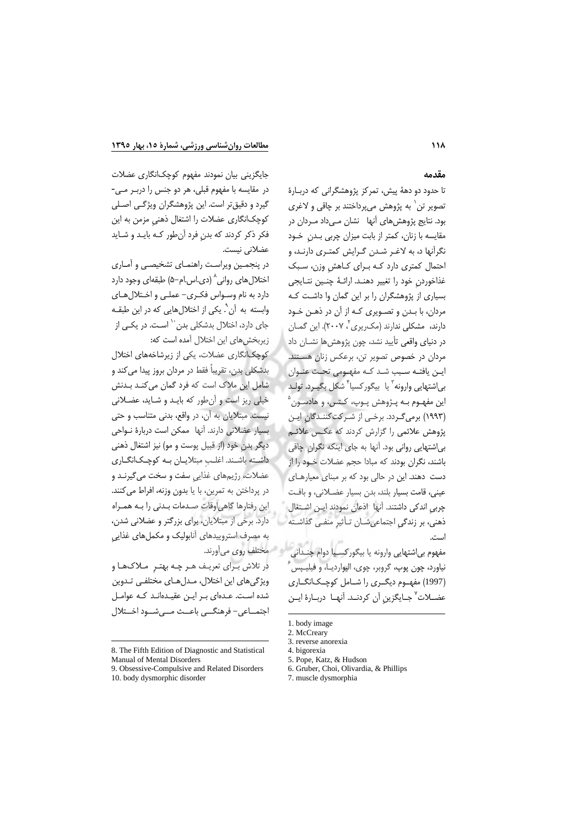جایگزینی بیان نمودند مفهوم کوچکانگاری عضلات

در مقايسه با مفهوم قبلي، هر دو جنس را درب رمـى-

گیرد و دقیقتر است. این پژوهشگران ویژگی اصلی

كوچكانگارى عضلات را اشتغال ذهنى مزمن به اين

فکر ذکر کردند که بدن فرد آنطور کـه بایـد و شـاید

در پنجمین ویراست راهنمـای تشخیصـی و آمـاری

اختلال های روانی^ (دی.اس.ام-۵) طبقهای وجود دارد

دارد به نام وسواس فكرى- عملي و اختلال هاى

وابسته به آن ْ. یکی از اختلال هایی که در این طبقـه

جای دارد، اختلال بدشکلی بدن<sup>۱۰</sup> اسـت. در یکـی از

کوچکانگاری عضلات، یکی از زیرشاخههای اختلال

بدشكلي بدن، تقريباً فقط در مردان بروز پيدا مي كند و

شامل این ملاک است که فرد گمان می کنـد بـدنش

خیلی ریز است و آن طور که باید و شاید، عضلانی

نيست. مبتلايان به آن، در واقع، بدني متناسب و حتى

بسیار عضلانی دارند. آنها ممکن است دربارهٔ نواحی

دیگر بدن خود (از قبیل پوست و مو) نیز اشتغال ذهنی

داشته باشند. اغلب مبتلایان به کوچکانگاری

عضلات، رژیمهای غذایی سفت و سخت میگیرنـد و

در پرداختن به تمرین، با یا بدون وزنه، افراط میکنند.

این رفتارها گاهی اوقات صدمات بدنی را به همراه

دارد. برخی از مبتلایان، برای بزرگتر و عضلانی شدن،

به مصرف استروییدهای آنابولیک و مکملهای غذایی

در تلاش برای تعریف هـر چـه بهتـر مـلاکـهـا و

ویژگیهای این اختلال، مدلهای مختلفی تدوین

شده است. عـدهای بـر ایـن عقیـدهانـد کـه عوامـل

اجتمــاعي- فرهنگــي باعــث مــي شــود اخــتلال

زیربخش های این اختلال آمده است که:

عضلاني نيست.

### مقدمه

تا حدود دو دههٔ پیش، تمرکز پژوهشگرانی که دربـارهٔ تصویر تن` به پژوهش میپرداختند بر چاقی و لاغری بود. نتايج پژوهش *ه*اي آنها \_نشان مــ ٍرداد مــردان در مقایسه با زنان، کمتر از بابت میزان چربی بـدن خـود نگرآنها د، به لاغـر شـدن گـرایش کمتـری دارنـد، و احتمال کمتری دارد کـه بـرای کـاهش وزن، سـبک غذاخوردن خود را تغيير دهنـد. ارائـهٔ چنـين نتـايجي بسیاری از پژوهشگران را بر این گمان وا داشت کـه مردان، با بـدن و تصـویری کـه از آن در ذهـن خـود دارند، مشکلی ندارند (مک $\chi$ یری $'$ ، ۲۰۰۷). این گمـان در دنياي واق*عي* تأييد نشد، چون پژوهش ها نشــان داد ً مردان در خصوص تصویر تن، برعکس زنان هستند. این یافتـه سـبب شـد کـه مفهـومی تحـت عنـوان بى|شتهايى وارونه<sup>"</sup> يا بيگوركسيا<sup>\*</sup> شكل بگيـرد. تولـد این مفهـوم بـه پـژوهش پـوپ، کـتس، و هادسـون ْ (۱۹۹۳) برمی گـردد. برخـی از شـر کت کننـدگان ایـن پژوهش علائمی را گزارش کردند که عکس علائـم بے،اشتھاپی روانی بود. آنھا به جای اینکه نگران چاقی باشند، نگران بودند که مبادا حجم عضلات خـود را از دست دهند. این در حالی بود که بر مبنای معیارهای عيني، قامت بسيار بلند، بدن بسيار عضلاني، وبافت چربی اندکی داشتند. آنها اذعان نمودند ایـن اشتغال ذهنی، بر زندگی اجتماعی شـان تـأثیر منفـی گذاشـته است.

ه مختلف روي ميأورند. مفهوم بی|شتهایی وارونه یا بیگور کسـیا دوام چنـدانی نیاورد، چون پوپ، گروبر، چوی، الیواردیــا، و فیلیــپس (1997) مفهـوم دیگـری را شـامل کوچـکانگــاری عضــلات<sup>٧</sup> جــايگزين آن كردنــد. آنهــا دربــارهٔ ايــن

6. Gruber, Choi, Olivardia, & Phillips

<sup>1.</sup> body image

<sup>2.</sup> McCreary

<sup>8.</sup> The Fifth Edition of Diagnostic and Statistical

Manual of Mental Disorders

<sup>9.</sup> Obsessive-Compulsive and Related Disorders 10. body dysmorphic disorder

<sup>3.</sup> reverse anorexia

<sup>4.</sup> bigorexia

<sup>5.</sup> Pope, Katz, & Hudson

<sup>7.</sup> muscle dysmorphia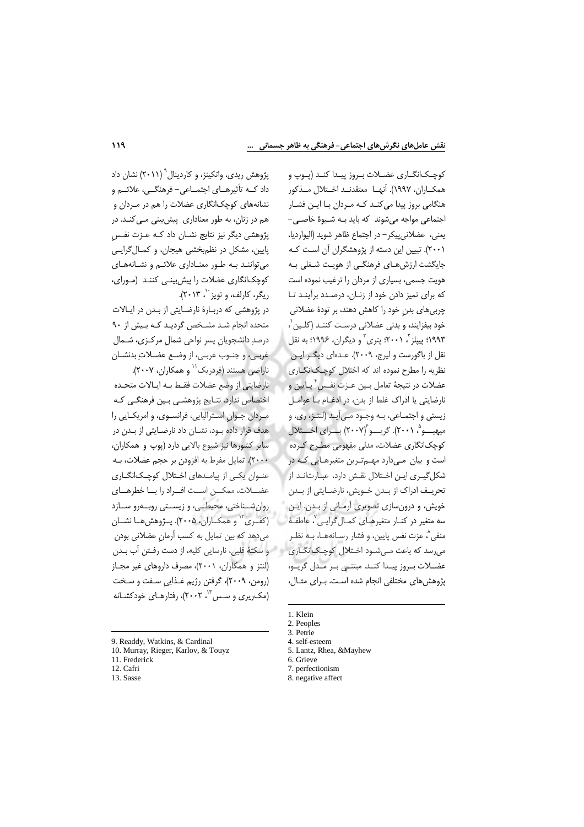کوچکانگـاري عضـلات بـروز پيـدا کنـد (پـوپ و همكــاران، ١٩٩٧). آنهــا معتقدنــد اخــتلال مــذكور هنگامی بروز پیدا میکند کـه مـردان بـا ايـن فشـار اجتماعی مواجه می شوند که باید به شیوهٔ خاصی-يعني، عضلاني پيكر – در اجتماع ظاهر شويد (اليوارديا، ۲۰۰۱). تبیین این دسته از پژوهشگران آن است کـه جایگشت ارزشهـای فرهنگـی از هویـت شـغلی بـه هویت جسمی، بسیاری از مردان را ترغیب نموده است که برای تمیز دادن خود از زنـان، درصـدد برآینـد تـا چربی،های بدن خود را کاهش دهند، بر تودهٔ عضلانی خود بيفزايند، و بدني عضلاني درست كننـد (كلـين`، ۱۹۹۳؛ پیپلز<sup>۲</sup>، ۲۰۰۱؛ پتری<sup>۳</sup> و دیگران، ۱۹۹۶؛ به نقل نقل از باگورست و لیرج، ۲۰۰۹). عـدهای دیگـر ایـن نظریه را مطرح نموده اند که اختلال کوچکانگاری عضلات در نتيجهٔ تعامل بـين عـزت نفـس ٌ پـايين و نارضایتی یا ادراک غلط از بدن، در ادغـام بـا عوامـل زيستي و اجتمـاعي، بـه وجـود مـي]َيـد (لنتـز، ري، و میهیـــو ْ، ۲۰۰۱). گریــــو ۲۰۰۷) بــــرای اخـــتلال کوچکانگاری عضلات، مدلی مفهومی مطـرح کـرده است و بیان مےدارد مهــمتـرین متغیرهـایی کـه در شکل گیـری ایـن اخـتلال نقـش دارد، عبـارتانـد از تحريــف ادراک از بــدن خــويش، نارضــايتى از بــدن خویش، و درونسازی تصویری آرمـانی از بـدن. ایـن سه متغیر در کنــار متغیرهــای کمــال۶گرایــی<sup>۷</sup> عاطفــهٔ منفي^، عزت نفس پايين، و فشار رسـانههـا، بــه نظـر میرسد که باعث مـیشـود اخـتلال کوچـک|نگـاری عضــلات بــروز پيــدا كنــد. مبتنــى بــر مــدل گريــو، يژوهش هاي مختلفي انجام شده است. بـراي مثـال،

- 1. Klein
- 2. Peoples

4. self-esteem

- 7. perfectionism
- 8. negative affect

پژوهش ریدی، واتکینز، و کاردینال ۱٬ (۲۰۱۱) نشان داد داد کــه تأثیرهــای اجتمــاعی- فرهنگــی، علائــم و نشانههای کوچکانگاری عضلات را هم در مـردان و هم در زنان، به طور معناداری پیش بینی می کند. در پژوهشی دیگر نیز نتایج نشـان داد کـه عـزت نفـس پایین، مشکل در نظم بخشی هیجان، و کمال گرایی می توانند به طور معناداری علائم و نشانههای کوچکانگاری عضلات را پیش بینی کنند (مورای، ریگر، کارلف، و تویز ``، ۲۰۱۳).

در پژوهشی که دربـارهٔ نارضـایتی از بـدن در ایـالات متحده انجام شد مشخص گردید کـه بـیش از ۹۰ درصد دانشجویان پسر نواحی شمال مرکـزی، شـمال غربـي، و جنـوب غربـي، از وضـع عضـلاتِ بدنشـان ناراضي هستند (فردريک'' و همکاران، ٢٠٠٧).

نارضايتي از وضع عضلات فقط بـه ايـالات متحـده اختصاص ندارد. نتـايج پژوهشـي بـين فرهنگـي كـه مردان جوان استرالیایی، فرانسوی، و امریکایی را هدف قرار داده بود، نشان داد نارضایتی از بدن در سایر کشورها نیز شیوع بالایی دارد (پوپ و همکاران، ٢٠٠٠). تمايل مفرط به افزودن بر حجم عضلات، بـه عنـوان یکـی از پیامـدهای اخـتلال کوچـک|نگــاری عضـلات، ممكــن اســت افــراد را بــا خطرهــاي روان شناختی، محیطی، و زیستی روبدرو سازد (کفـری<sup>۱۲</sup> و همکــاران، ۲۰۰۵). پــژوهش *ه*ــا نشــان می دهد که بین تمایل به کسب آرمان عضلانی بودن و سكتهٔ قلبي، نارسايي كليه، از دست رفـتن آب بـدن (لنتز و همکاران، ۲۰۰۱)، مصرف داروهای غیر مجـاز (رومن، ۲۰۰۹)، گرفتن رژیم غـذایی سـفت و سـخت (مک ریری و سس ۱۳ ، ۲۰۰۲)، رفتارهـای خودکشـانه

9. Readdy, Watkins, & Cardinal

11. Frederick

12. Cafri

13. Sasse

10. Murray, Rieger, Karlov, & Touyz

<sup>3.</sup> Petrie

<sup>5.</sup> Lantz, Rhea, &Mayhew

<sup>6.</sup> Grieve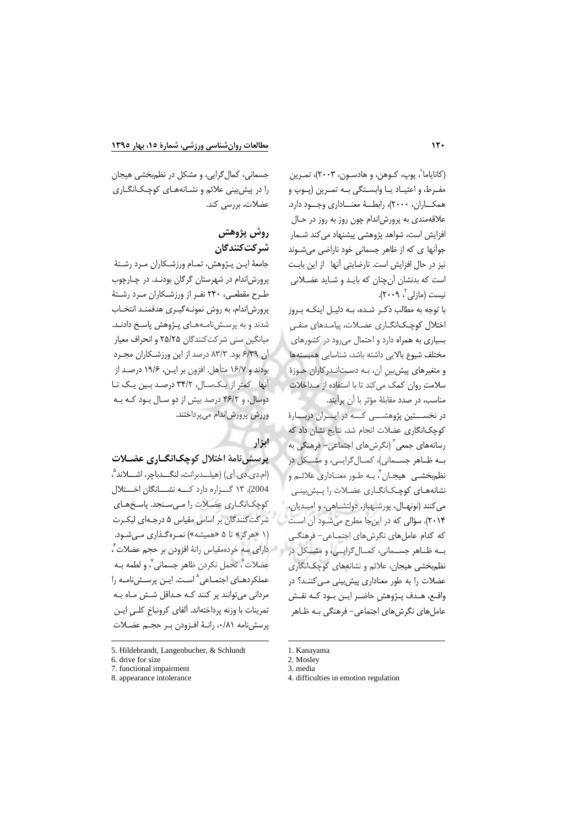(کانایاما`، یوپ، کـوهن، و هادسـون، ۲۰۰۳)، تمـرین مفـرط، و اعتيــاد يــا وابســتگى بــه تمـرين (يــوپ و همكــاران، ٢٠٠٠)، رابطـــهٔ معنـــاداري وجـــود دارد. علاقهمندي به پرورشاندام چون روز به روز در حـال افزایش است، شواهد پژوهشی پیشنهاد می کند شــمار جوانها ی که از ظاهر جسمانی خود ناراضی میشوند نیز در حال افزایش است. نارضایتی آنها از این بابت است که بدنشان آنچنان که بایـد و شـاید عضـلانی نیست (مازلی ، ۲۰۰۹).

با توجه به مطالب ذکـر شـده، بـه دليـل اينکـه بـروز اختلال کوچکانگــاری عضــلات، پیامــدهای منفــی بسیاری به همراه دارد و احتمال می رود در کشورهای مختلف شيوع بالايى داشته باشد، شناسايى همبستهها و متغیرهای پیش بین آن، بـه دستانـدرکاران حـوزهٔ سلامت روان كمك مى كند تا با استفاده از مىداخلات مناسب، در صدد مقابلهٔ مؤثر با آن برآیند.

در نخســـتین پژوهشـــی کـــه در ایــــران دربــــارهٔ كوچکانگاری عضلات انجام شد، نتایج نشان داد که رسانههای جمعی ؓ (نگرشهای اجتماعی– فرهنگی به بـه ظـاهر جسـماني)، كمـال گرايــي، و مشــكل در نظم بخشبي هيجــان ٌ، ٻـه طــور معنــاداري علائــم و نشانههای کوچکانگاری عضلات را پیش بینبی مي كنند (نونهـال، پورشــهباز، دولتشــاهي، و اميـديان، ۲۰۱۴). سؤالی که در اینجا مطرح میشـود آن اسـت که کدام عاملهای نگرشهای اجتمـاعی- فرهنگـی به ظاهر جسماني، كمال گرايمي، و مشكل در نظم بخشی هیجان، علائم و نشانههای کوچکانگاری عضلات را به طور معناداری پیش بینی مـی کننـد؟ در واقـع، هـدف پــژوهش حاضـر ايــن بــود كــه نقــش عامل های نگرش های اجتماعی– فرهنگی بـه ظـاهر

جسمانی، کمال گرایی، و مشکل در نظم بخشی هیجان را در پیش بینی علائم و نشـانههـای کوچـک|نگـاری عضلات، بررسی کند.

# روش پژوهش شركتكنندگان

جامعهٔ ایـن پـژوهش، تمـام ورزشـكاران مـرد رشـتهٔ پرورش اندام در شهرستان گرگان بودند. در چارچوب طرح مقطعی، ۲۴۰ نفـر از ورزشـکاران مـرد رشـتهٔ پرورش اندام، به روش نمونـهگیـری هدفمنـد انتخـاب شدند و به پرسش نامـههـای پـژوهش پاسـخ دادنـد. مبانگین سنی شرکت کنندگان ۲۵/۲۵ و انجراف معبار آن ۶/۳۹ بود. ۸۳/۳ درصد از این ورزشکاران مجرد بودند و ۱۶/۷ متأهل. افزون بر ایـن، ۱۹/۶ درصـد از آنها کمتر از یکسال، ۳۴/۲ درصد بین یک تا دوسال، و ۴۶/۲ درصد بیش از دو سال بود که به ورزش پرورش|ندام میپرداختند.

## ابزار

پرسش نامهٔ اختلال کوچکانگ(ری عضـلات

(ام.دي.دي.اَي) (هيلـــدبرانت، لنگـــدباچر، اشــــلاند ْ، 2004). ۱۳ گــزاره دارد كـــه نشـــانگان اخـــتلال كوچكانگارى عضلات را مىسنجد. پاسخهاى شرکتکنندگان بر اساس مقیاس ۵ درجـهای لیکـرت (۱ «هرگز» تا ۵ «همیشه») نمرهگذاری میشود. م مارای سه خردهمقیاس رانهٔ افزودن بر حجم عضلات ً، عضلات ؒ، تحمل نكردن ظاهر جسمانی ؒ، و لطمه بـه عملکردهـای اجتمـاعی^اسـت. ایـن پرسـشنامـه را مردانی می توانند پر کنند کـه حـداقل شـش مـاه بـه تمرینات با وزنه پرداختهاند. آلفای کرونباخ کلـی ایـن پرسش نامه ۰/۸۱، رانـهٔ افـزودن بـر حجـم عضـلات

<sup>5.</sup> Hildebrandt, Langenbucher, & Schlundt

<sup>6.</sup> drive for size

<sup>7.</sup> functional impairment

<sup>8.</sup> appearance intolerance

<sup>1.</sup> Kanayama

<sup>2.</sup> Mosley

<sup>3.</sup> media

<sup>4.</sup> difficulties in emotion regulation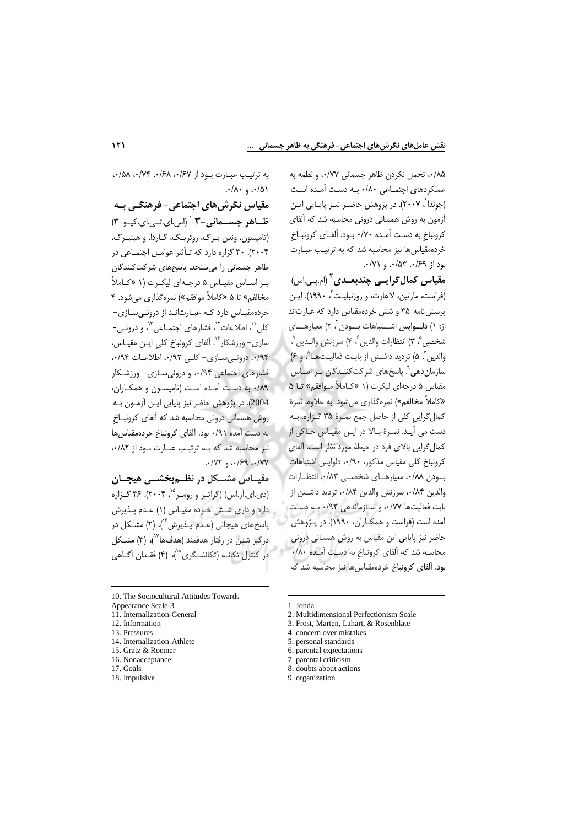٨٥/٠، تحمل نكردن ظاهر حسماني ٠/٧٧، و لطمه به عملکردهای اجتماعی ۰/۸۰ بـه دست آمـده اسـت (جوندا`، ۲۰۰۷). در پژوهش حاضـر نيــز پايــايي ايــن آزمون به روش همسانی درونی محاسبه شد که آلفای کرونباخ به دست آمـده ۷۰/۰ بـود. آلفـای کرونبـاخ خردهمقیاس ها نیز محاسبه شد که به ترتیب عبارت  $\cdot$ بود از ۶۹/۰، ۵۳ $\cdot$ ۵۳/۰، و ۰/۷۱.

مقیاس کمال *گ*رایے چندبعـدی<sup>۲</sup> (ام.پـی.اس) (فراست، مارتین، لاهارت، و روزنبلیـت ؒ، ۱۹۹۰). ایـن پرسش نامه ۳۵ و شش خردهمقیاس دارد که عبارتاند از: ۱) دلـواپس اشــتباهات بــودن ۲ ٬ معیارهــای شخصي ۾ ٣) انتظارات والدين ؒ، ۴) سرزنش والـدين ؒ، والدين ٌ، ۵) ترديد داشـتن از بابـت فعاليـتهـا ُ، و ۶) سازمان دهی ْ. پاسخهای شرکت کننـدگان بـر اسـاس مقیاس ۵ درجهای لیکرت (۱ «کـاملاً مـوافقم» تـا ۵ «کاملاً مخالفم») نمرهگذاری می شود. به علاوه، نمرهٔ کمال گرایی کلی از حاصل جمع نمـرهٔ ۳۵ گـزاره، بـه دست می آیـد. نمـرهٔ بـالا در ایـن مقیـاس حـاکی از کمال گرایی بالای فرد در حیطهٔ مورد نظر است. آلفای كرونباخ كلى مقياس مذكور، ٩٠/٩٠، دلواپس اشتباهات بودن ٠/٨٨، معيارهــاي شخصــي ٠/٨٣، انتظــارات والدين ٨۴/٠، سرزنش والدين ٠/٨۴، ترديد داشتن از بابت فعاليتها ٧٧/٠، و سازماندهي ٩٣/٠ به دست آمده است (فراست و همكـاران، ١٩٩٠). در پـژوهش حاضر نیز پایایی این مقیاس به روش همسانی درونی محاسبه شد که آلفای کرونباخ به دست آمـده ۸۰/۰ بود. آلفای کرونباخ خردهمقیاس ها نیز محاسبه شد که

به ترتيب عبارت بود از ٠/۶٧، ٠/۶٨، ٠/٧۴، ٠/٥٨،  $.4/\lambda$ ,  $.4/\Delta$ 

مقیاس نگرش های اجتماعی- فرهنگـی بـه ظاهر جسمانی-۳<sup>۰٬</sup>۳ (اس ای.تبی.ای.کیو-۳) (تامپسون، وندن بـرگ، روئريـگ، گـاردا، و هينبـرگ، ٢٠٠۴). ٣٠ گزاره دارد كه تأثير عوامل اجتماعي در ظاهر جسمانی را می سنجد. پاسخهای شرکت *ک*نندگان بر اساس مقياس ۵ درجهاى ليكرت (١ «كـاملاً مخالفم» تا ۵ «کاملاً موافقم») نمرهگذاری می شود. ۴ خردهمقیـاس دارد کـه عبـارت|نـد از درونـی سـازی-کلی'`، اطلاعات'`، فشارهای اجتمـاعی'<sup>''</sup>، و درونـی-سازی– ورزشکار ٔ''. آلفای کرونباخ کلی ایـن مقیـاس، ۰/۹۴، درونے سازی- کلبی ۰/۹۲، اطلاعات ۰/۹۴، فشارهای اجتماعی ۹۴/۰۰ و درونی سـازی- ورزشـکار ٨٩/٠ به دست آمـده اسـت (تاميسـون و همكـاران، 2004). در پژوهش حاضر نیز پایایی ایـن آزمـون بـه روش همسانی درونی محاسبه شد که آلفای کرونبـاخ به دست آمده ۰/۹۱ بود. آلفای کرونباخ خردهمقیاس ها نیز محاسبه شد که بـه ترتیب عبـارت بـود از ۰/۸۲  $\cdot$ /YY  $9$   $\cdot$ /۶۹  $\cdot$ /YY

مقساس مشبکل در نظیم بخشیے هیچیان (دی.ای.آر.اس) (گراتیز و رومبر<sup>۱۵</sup>، ۲۰۰۴). ۳۶ گـزاره دارد و داری شش خبرده مقیاس (۱) عبدم پیدیرش یاسخهای هیجانی (عـدم پـذیرش<sup>۶</sup>')، (۲) مشـکل در درگیر شدن در رفتار هدفمند (هدفها<sup>۷۷</sup>)، (۳) مشــکل در کنترل تکانـه (تکانشـگری<sup>۱۸</sup>)، (۴) فقـدان آگـاه*ي* 

15. Gratz & Roemer

- 17. Goals
- 18. Impulsive
- 2. Multidimensional Perfectionism Scale
- 3. Frost, Marten, Lahart, & Rosenblate
- 4. concern over mistakes
- 5. personal standards
- 6. parental expectations
- 7. parental criticism
- 
- 8. doubts about actions
- 9. organization

<sup>10.</sup> The Sociocultural Attitudes Towards

Appearance Scale-3

<sup>11.</sup> Internalization-General

<sup>12.</sup> Information

<sup>13.</sup> Pressures

<sup>14.</sup> Internalization-Athlete

<sup>16.</sup> Nonaccentance

 $1$  Ionda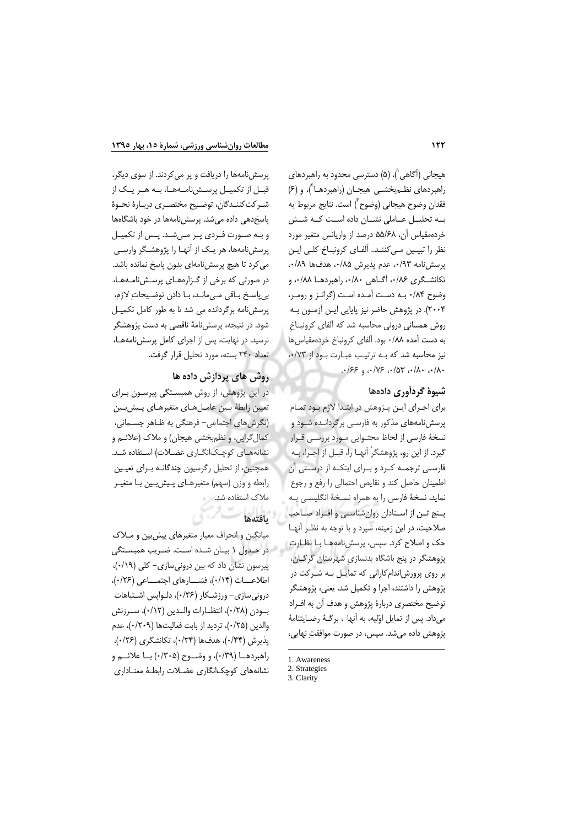هیجانی (آگاهی`)، (۵) دسترسی محدود به راهبردهای راهبردهای نظـم بخشـی هیجـان (راهبردهــا۲)، و (۶) فقدان وضوح هيجاني (وضوح ّ) است. نتايج مربوط به بـه تحليـل عـاملى نشـان داده اسـت كـه شـش خردهمقیاس آن، ۵۵/۶۸ درصد از واریانس متغیر مورد نظر را تبيين مي كننـد.. ألفـاي كرونبـاخ كلـي ايـن پرسشنامه ۰/۹۳، عدم پذیرش ۰/۸۵، هدفها ۰/۸۹، تكانشگرى ٠/٨۶، آگــاهي ٠/٨٠، راهبردهــا ٠/٨٨، و وضوح ٨٤/٠ بـه دست آمـده است (گراتـز و رومـر، ۲۰۰۴). در پژوهش حاضر نیز پایایی ایـن آزمـون بـه روش همسانی درونی محاسبه شد که آلفای کرونبـاخ به دست آمده ۰/۸۸ بود. آلفای کرونباخ خردهمقیاس ها نیز محاسبه شد که به ترتیب عبارت بود از ۰/٧٣،  $.189.911138.7014.284.$ 

## شیوهٔ گردآوری دادهها

برای اجرای این پژوهش در ابتدا لازم بود تمام پرسشنامههای مذکور به فارسی برگردانـده شـود و نسخهٔ فارسی از لحاظ محتـوایی مـورد بررسـی قـرار گیرد. از این رو، پژوهشگرْ آنهـا را، قبـل از اجـرا، بـه فارسـی ترجمـه کـرد و بـرای اینکـه از درسـتی آن اطمينان حاصل كند و نقايص احتمالي را رفع و رجوع نماید، نسخهٔ فارسی را به همراه نسخهٔ انگلیسی به پنج تـن از اسـتادان روانشناسـي و افـراد صـاحب صلاحیت، در این زمینه، سپرد و با توجه به نظر آنها حک و اصلاح کرد. سپس، پرسش نامههـا بـا نظـارت پژوهشگر در پنج باشگاه بدنسازی شهرستان گرگان، بر روی پرورشاندام کارانی که تمایـل بـه شـرکت در پژوهش را داشتند، اجرا و تکمیل شد. یعنی، پژوهشگر توضيح مختصري دربارة پژوهش و هدف آن به افـراد می داد. پس از تمایل اوّلیه، به آنها ، برگـهٔ رضـایتنامهٔ پژوهش داده می شد. سپس، در صورت موافقتِ نهایی،

پرسش نامهها را دریافت و پر می کردند. از سوی دیگر، قبــل از تکميــل پرســشiامــههــا، بــه هــر يــک از شـركت كننـدگان، توضـيح مختصـرى دربـارة نحـوة پاسخدهی داده می شد. پرسشنامهها در خود باشگاهها و بـه صـورت فـردى يـر مـى شـد. يـس از تكميـل پرسشنامهها، هر یک از آنهـا را پژوهشـگر وارسـی می کرد تا هیچ پرسش نامهای بدون پاسخ نمانده باشد. در صورتی که برخی از گزارههای پرسشنامهها، بي ياسخ باقى مے مانـد، بـا دادن توضـيحات لازم، پرسش نامه برگردانده می شد تا به طور کامل تکمیـل شود. در نتیجه، پرسشiامهٔ ناقصی به دست پژوهشگر نرسید. در نهایت، پس از اجرای کامل پرسش نامهها، تعداد ٢۴٠ بسته، مورد تحليل قرار كرفت.

## روش های پردازش داده ها

در این پژوهش، از روش همبستگی پیرسون بـرای تعيين رابطهٔ بين عامـلهـاي متغيرهـاي پـيش بـين (نگرشهای اجتماعی- فرهنگی به ظـاهر جسـمانی، کمال گرایی، و نظمبخشی هیجان) و ملاک (علائـم و نشانههای کوچکانگاری عضلات) استفاده شد. همچنین، از تحلیل رگرسیون چندگانـه بــرای تعیــین رابطه و وزن (سهم) متغیرهـای پـیش بـین بـا متغیـر ملاک استفاده شد.

## بافتهها

میانگین و انحراف معیار متغیرهای پیش بین و مــلاک در جدول ۱ بیـان شـده اسـت. ضـریب همبسـتگی پیرسون نشان داد که بین درونی سازی- کلی (۰/۱۹)، اطلاعـــات (١/٢٠)، فشــــارهاى اجتمـــاعى (١/٢۶)، درونی سازی- ورزشکار (۰/۳۶)، دلواپس اشتباهات بــودن (٢٨/٠)، انتظــارات والــدين (٠/١٢)، ســرزنش والدين (٢٥/٠)، ترديد از بابت فعاليتها (٢٠٩/٠)، عدم پذیرش (۰/۴۴)، هدفها (۰/۳۴)، تکانشگری (۰/۲۶)، راهبردهـا (٠/٣٩)، و وضـوح (٠/٣٠۵) بــا علائــم و نشانههای کوچکانگاری عضلات رابطهٔ معناداری

<sup>1.</sup> Awareness

<sup>2.</sup> Strategies

<sup>3.</sup> Clarity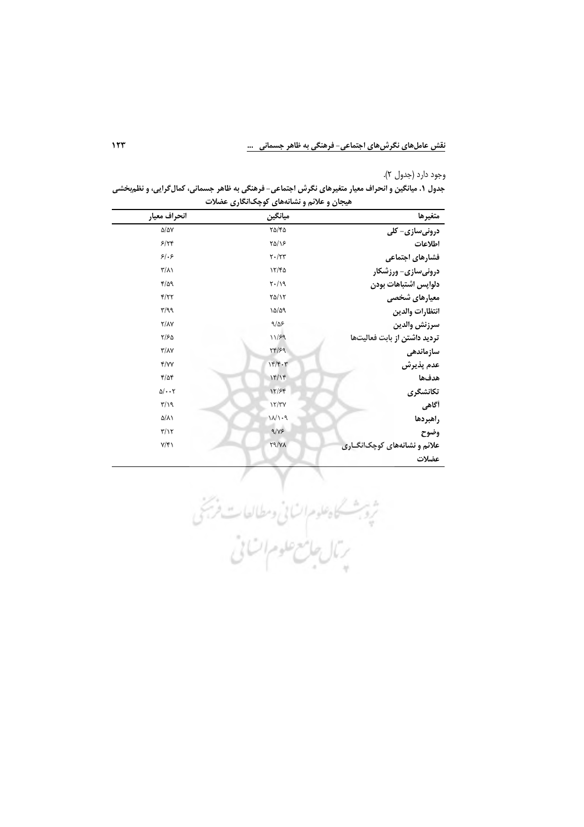وجود دارد (جدول ٢).

جدول ۱. میانگین و انحراف معیار متغیرهای نگرش اجتماعی- فرهنگی به ظاهر جسمانی، کمال**گرایی، و نظم**بخشی **هیجان و علائم و نشانههای کوچکانگاری عضلات** 

| انحراف معيار                      | ميانگين             | متغيرها                      |
|-----------------------------------|---------------------|------------------------------|
| $\Delta/\Delta V$                 | $Y\Delta/Y\Delta$   | درونیسازی- کلی               |
| 5/79                              | $Y\Delta/Y$         | اطلاعات                      |
| 51.5                              | $Y \cdot / YY$      | فشارهای اجتماعی              |
| $\frac{1}{2}$                     | 17/6                | درونیسازی- ورزشکار           |
| 4/29                              | $Y \cdot / \lambda$ | دلواپس اشتباهات بودن         |
| Y/YY                              | $\frac{1}{2}$       | معیارهای شخصی                |
| $\mathbf{r}/\mathbf{q}\mathbf{q}$ | 10/09               | انتظارات والدين              |
| Y/AY                              | 9/25                | سرزنش والدين                 |
| $\frac{1}{2}$                     | 11/59               | تردید داشتن از بابت فعالیتها |
| $\Upsilon/\Lambda\Upsilon$        | $\tau f / \zeta q$  | سازماندهى                    |
| Y/YY                              | 144.7               | عدم پذیرش                    |
| $f/\Delta f$                      | 15/15               | هدفها                        |
| $\Delta/\cdot\cdot\tau$           | 15/۶۴               | تكانشگرى                     |
| $\mathbf{r}/\mathbf{y}$           | 17/TV               | أگاهي                        |
| ۵/٨١                              | 11/1.9              | راهبردها                     |
| $\mathbf{r}/\mathbf{r}$           | 9/15                | وضوح                         |
| $Y/\mathfrak{f}$                  | XY                  | علائم و نشانههای کوچکانگـاری |
|                                   |                     | عضلات                        |

شیر شنگاه علوم انسانی وسطالعات فرجنی<br>شیره بخشنگاه علوم انسانی است فرجنی<br>پرتال جامع علوم انسانی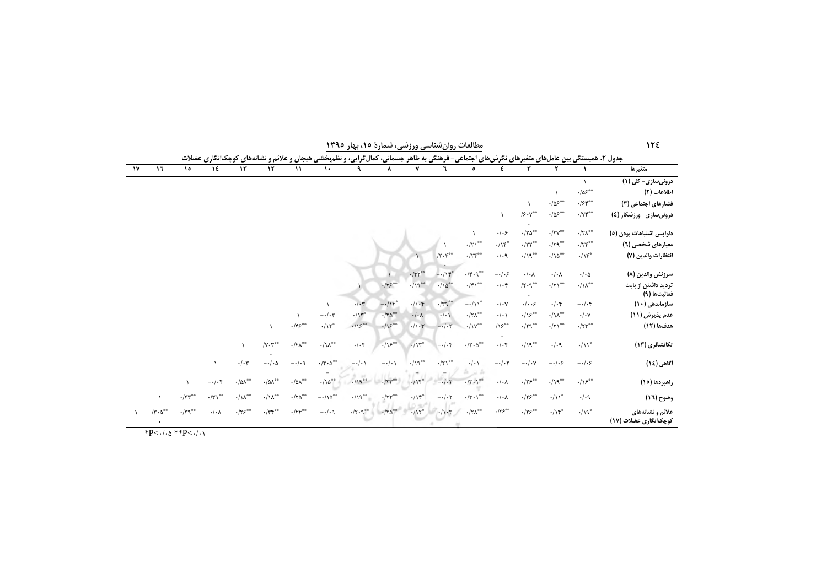| متغيرها                                   |                                                             |                                                                 | ٣                                                               | ٤                        | $\circ$                                                 |                                                  | ۷                                   | ۸                                                                              |                                               | $\mathcal{L}$                                | $\mathcal{L}$                                                              | $\mathcal{N}$                                                                 | $\mathcal{N}$              | ١٤                         | $\lambda$                                   | $\mathcal{L}$                                    | $\gamma$ |
|-------------------------------------------|-------------------------------------------------------------|-----------------------------------------------------------------|-----------------------------------------------------------------|--------------------------|---------------------------------------------------------|--------------------------------------------------|-------------------------------------|--------------------------------------------------------------------------------|-----------------------------------------------|----------------------------------------------|----------------------------------------------------------------------------|-------------------------------------------------------------------------------|----------------------------|----------------------------|---------------------------------------------|--------------------------------------------------|----------|
| درونیسازی- کلی (۱)                        |                                                             |                                                                 |                                                                 |                          |                                                         |                                                  |                                     |                                                                                |                                               |                                              |                                                                            |                                                                               |                            |                            |                                             |                                                  |          |
| اطلاعات (٢)                               | $\cdot/\Delta5^{\circ\circ}$                                |                                                                 |                                                                 |                          |                                                         |                                                  |                                     |                                                                                |                                               |                                              |                                                                            |                                                                               |                            |                            |                                             |                                                  |          |
| فشارهای اجتماعی (۳)                       | $\cdot$ /۶۴*                                                | $\cdot/\Delta5^{\circ\circ}$                                    | $\lambda$                                                       |                          |                                                         |                                                  |                                     |                                                                                |                                               |                                              |                                                                            |                                                                               |                            |                            |                                             |                                                  |          |
| درونیسازی- ورزشکار (٤)                    | $\cdot$ / $\gamma$ $\zeta^{\circ\circ}$                     | $\cdot/\Delta5^{\ast\ast}$                                      | /5.9                                                            |                          |                                                         |                                                  |                                     |                                                                                |                                               |                                              |                                                                            |                                                                               |                            |                            |                                             |                                                  |          |
| دلواپس اشتباهات بودن (٥)                  | $\cdot/\tau\Lambda^{**}$                                    | $\boldsymbol{\cdot} / \boldsymbol{\upgamma}^{\ast \ast}$        | $\cdot/\tau\Delta^{**}$                                         | $.  .$ ۶                 |                                                         |                                                  |                                     |                                                                                |                                               |                                              |                                                                            |                                                                               |                            |                            |                                             |                                                  |          |
| معیارهای شخصی (٦)                         | $\cdot$ /٢۴ <sup><math>\circ</math></sup>                   | $\cdot/\upgamma\uparrow^{\ast\circ}$                            | $\cdot$ /۲۲**                                                   | $\cdot/\mathcal{N}^*$    | $\cdot/\!\!\!\!\gamma\,$                                |                                                  |                                     |                                                                                |                                               |                                              |                                                                            |                                                                               |                            |                            |                                             |                                                  |          |
| انتظارات والدين (٧)                       | $\cdot/\backslash {\mathfrak r}^*$                          | $\cdot/\backslash \Delta^{\ast \ast}$                           | $\cdot/\gamma^{\ast\ast}$                                       | $\cdot/\cdot$ ٩          | $\cdot/\tau$ res                                        | $/\Upsilon \cdot \Upsilon^{\circ \circ}$         |                                     |                                                                                |                                               |                                              |                                                                            |                                                                               |                            |                            |                                             |                                                  |          |
| سرزنش والدين (٨)                          | $\cdot/\cdot \Delta$                                        | $\boldsymbol{\cdot}/\boldsymbol{\cdot}\boldsymbol{\curlywedge}$ | $\boldsymbol{\cdot}/\boldsymbol{\cdot}\boldsymbol{\curlywedge}$ | $-\cdot/\cdot$ ۶         | $\cdot/\mathfrak{f}\cdot\mathfrak{q}^{**}$              | $-115$                                           | $\cdot$ /٣٢ <sup>**</sup>           |                                                                                |                                               |                                              |                                                                            |                                                                               |                            |                            |                                             |                                                  |          |
| تردید داشتن از بابت<br>فعاليتها (٩)       | $\cdot/\mathcal{N}_{\text{ee}}$                             | $\cdot/\!\!\!\!\gamma\,$ $\!\!$                                 | $/\Upsilon\cdot\mathsf{q}^{**}$                                 | $\cdot/\cdot$ ۴          | $\cdot/\mathfrak{f}\, \backslash^{\mathfrak{so}}$       | $\cdot/\Delta^{\circ\circ}$                      | $\cdot/\eta^{**}$                   | .75                                                                            |                                               |                                              |                                                                            |                                                                               |                            |                            |                                             |                                                  |          |
| سازماندهی (۱۰)                            | $-\cdot/\cdot$ ۴                                            | $\cdot/\cdot$ ۴                                                 | .  . .5                                                         | $\cdot/\cdot$ Y          | $-\cdot/\mathcal{N}^*$                                  | $\cdot$ / $\uparrow$ q **                        | $\cdot/\cdot$ ۴                     | $-\cdot/15^*$                                                                  | $\cdot/\cdot7$                                | $\lambda$                                    |                                                                            |                                                                               |                            |                            |                                             |                                                  |          |
| عدم پذیرش (١١)                            | $\cdot/\cdot$ Y                                             | $\cdot/\backslash\Lambda_{\texttt{ee}}$                         | $\cdot/\mathcal{P}^{**}$                                        | $\cdot/\cdot$            | $\cdot/\!\!\!\!\!\wedge\wedge^{\circ\circ}$             | $\frac{1}{2}$                                    | $\cdot/\cdot \wedge$                | $-170^{\circ\circ}$                                                            | $\cdot/\mathcal{N}^*$                         | $-\cdot/\cdot \tau$                          |                                                                            |                                                                               |                            |                            |                                             |                                                  |          |
| هدفها (١٢)                                | $\cdot$ /٢٣ <sup><math>\circ</math><math>\circ</math></sup> | $\cdot/\!\!\!\!\gamma\,$ $\!\!$                                 | $\cdot$ /۲۹ $^{\circ\circ}$                                     | $/ \sqrt{2}$             | $\cdot/\gamma$                                          | $-\cdot/\cdot 7$                                 | $\cdot/\cdot \tau$                  | .15                                                                            | $.15^{00}$                                    | $\cdot/\mathcal{N}^*$                        | $\cdot$ /۴۶**                                                              | $\lambda$                                                                     |                            |                            |                                             |                                                  |          |
| تکانشگری (۱۳)                             | $\cdot/\mathcal{N}^*$                                       | $\cdot/\cdot$ ٩                                                 | $\cdot/\backslash\mathfrak{q}^{**}$                             | $\cdot/\cdot$ ۴          | $\cdot/\mathbf{Y}\cdot\boldsymbol{\Delta}^{\circ\circ}$ | $-\cdot/\cdot$ ۴                                 | $-115$                              | .15                                                                            | $\cdot/\cdot$ ۴                               | $\boldsymbol{\cdot}/\gamma\gamma^{\ast\ast}$ | $\cdot/\mathfrak{r}\wedge^{\ast\ast}$                                      | $/\mathsf{Y}\boldsymbol{\cdot}\mathsf{Y}^{**}$                                | $\lambda$                  |                            |                                             |                                                  |          |
| أگاهی (١٤)                                | $-\cdot/\cdot$ ۶                                            | $-\cdot/\cdot$ ۶                                                | $-\cdot/\cdot \gamma$                                           | $-\cdot/\cdot7$          | $\cdot/\cdot$                                           | $\cdot/\!\!\!\!\gamma\, \backslash^{\circ\circ}$ | $\cdot/\backslash\mathfrak{q}^{**}$ | $-\cdot/\cdot$                                                                 | $-\cdot/\cdot$                                | $\cdot/\mathbf{r}\cdot\mathbf{r}^{\ast\ast}$ | $-\cdot/\cdot$ 9                                                           | $-\cdot/\cdot \Delta$                                                         | $\cdot/\cdot$ ۳            | $\lambda$                  |                                             |                                                  |          |
| راهبردها (١٥)                             | $./\sqrt{5}$                                                | $\cdot/\backslash\mathfrak{q}^{**}$                             | $\cdot$ /۲۶ $^{\circ\circ}$                                     | $\cdot/\cdot \wedge$     | $\cdot/\tau \cdot \rangle$                              | $-1.5$                                           | .115                                |                                                                                | $119^{00}$ . $/19^{00}$                       | $\cdot/\backslash\Delta^{**}$                | $\boldsymbol{\cdot} / \boldsymbol{\Delta} \boldsymbol{\Lambda}^{\ast\ast}$ | $\boldsymbol{\cdot} / \boldsymbol{\Diamond} \boldsymbol{\Lambda}^{\ast \ast}$ | $\cdot/\Delta\Lambda^{**}$ | $-\cdot/\cdot$ ۴           | $\lambda$                                   |                                                  |          |
| وضوح (١٦)                                 | $\cdot/\cdot$ ٩                                             | $\cdot/\mathcal{N}^*$                                           | $\cdot$ /۲۶**                                                   | $\cdot/\cdot \wedge$     | $\cdot/\mathbf{Y}\cdot\mathbf{V}^{\circ\circ}$          | $-\cdot/\cdot7$                                  | $\cdot/\mathcal{N}^*$               | $\cdot$ /٢٣                                                                    | $\cdot/\gamma^{**}$                           | $-\cdot/\lambda\Delta^{**}$                  | $\cdot$ /٢۵**                                                              | $\cdot/\backslash\Lambda^{**}$                                                | $\cdot/\lambda^{**}$       | $\cdot/\tau$ <sup>**</sup> | $\cdot$ / $\mathsf{r}\mathsf{r}^{\ast\ast}$ | $\lambda$                                        |          |
| علائم و نشانههای<br>کوچکانگاری عضلات (۱۷) | $\cdot/\backslash\mathfrak{q}^*$                            | $\cdot/\mathcal{N}^*$                                           | $\cdot$ /۲۶ $^{\circ\circ}$                                     | $\cdot$ /٣۶ <sup>٠</sup> | $\cdot/\mathbf{Y}\Lambda^{\text{ss}}$                   |                                                  |                                     | $\cdot$ / $\Gamma \Delta^{**}$ $\cdot$ / $\Gamma^*$ $\cdot$ / $\cdot$ $\Gamma$ | $\cdot/\mathbf{Y}\cdot\mathbf{q}^{\ast\circ}$ | $-1.4$                                       | $\cdot/\mathfrak{f}\mathfrak{f}^{\ast\ast}$                                | $\cdot$ /٣۴ $\hspace{0.1em}^{\circ\circ}$                                     | $\cdot$ /۲۶**              | $\cdot/\cdot$ $\wedge$     | $\cdot$ /۳۹ $^{\circ\circ}$                 | $/\mathbf{r}\cdot\boldsymbol{\Delta}^{\ast\ast}$ |          |

مطالعات روان شناسی ورزشی، شمارهٔ ۱۵، بهار ۱۳۹۵

 $175$ 

\*P< $\left\{\cdot\right\}$  \*\*P< $\left\{\cdot\right\}$  \*\*P< $\left\{\cdot\right\}$  \.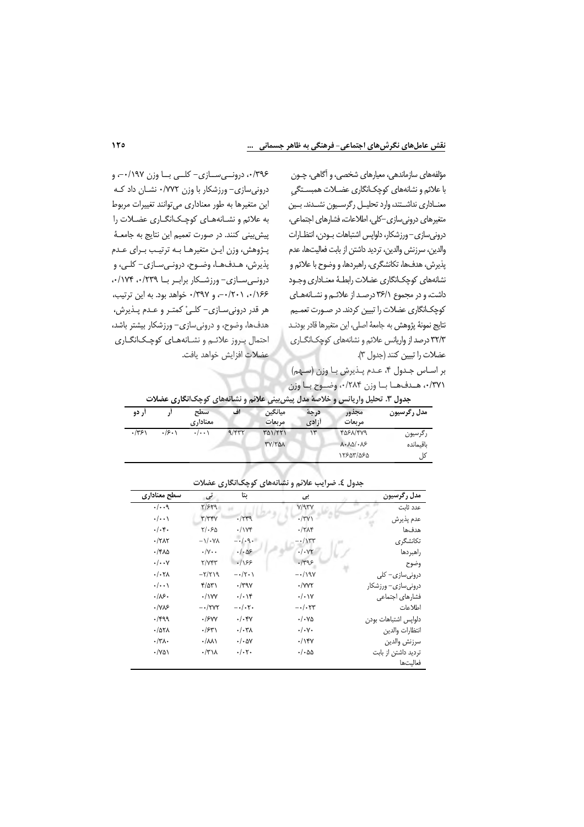مؤلفههای سازماندهی، معیارهای شخصی، و آگاهی، چـون با علائم و نشانههای کوچکانگاری عضـلات همبسـتگی معناداري نداشتند، وارد تحليل ركرسيون نشدند بين متغیرهای درونی سازی-کلی، اطلاعات، فشارهای اجتماعی، دروني سازي-ورزشكار، دلواپس اشتباهات بودن، انتظارات والدين، سرزنش والدين، ترديد داشتن از بابت فعاليتها، عدم پذیرش، هدفها، تکانشگری، راهبردها، و وضوح با علائم و نشانههاى كوچكانگارى عضلات رابطـهٔ معنـادارى وجـود داشت، و در مجموع ٣۶/١ درصد از علائم و نشانههای کوچکانگاری عضلات را تبیین کردند. در صـورت تعمـیم نتايج نمونهٔ پژوهش به جامعهٔ اصلي، اين متغيرها قادر بودنـد ٣٢/٣ درصد از واریانس علائم و نشانههای کوچکانگاری عضلات را تبيين كنند (جدول ٣).

بر اساس جدول ۴، عدم پذیرش با وزن (سهم) ٠/٣٧١، هـدفها با وزن ٠/٢٨۴، وضـوح با وزن

۰/۳۹۶ درونهی سازی- کلبی با وزن ۰/۱۹۷-، و درونی سازی- ورزشکار با وزن ۰/٧٧٢ نشان داد که این متغیرها به طور معناداری می توانند تغییرات مربوط به علائم و نشانههای کوچکانگاری عضلات را پیش بینی کنند. در صورت تعمیم این نتایج به جامعـهٔ پـژوهش، وزن ايـن متغيرهـا بـه ترتيـب بـراي عـدم پذيرش، هـدفهـا، وضـوح، درونـىسـازى- كلـى، و درونے سازی- ورزشکار براب ریا ۰/۱۷۴،۰/۲۳۹. ۰/۱۶۶ ۰/۲۰۱ و ۰/۳۹۷ خواهد بود. به این ترتیب، هر قدر دروني سـازي- كلـيْ كمتـر و عـدم پـذيرش، هدفها، وضوح، و درونیسازی– ورزشکار بیشتر باشد، احتمال بروز علائم ونشانههای کوچکانگاری عضلات افزايش خواهد يافت.

| جدول ۳. تحلیل واریانس و خلاصهٔ مدل پیش بینی علائم و نشانههای کوچک نگاری عضلات |       |                    |       |                   |               |                                                  |             |
|-------------------------------------------------------------------------------|-------|--------------------|-------|-------------------|---------------|--------------------------------------------------|-------------|
| ار دو                                                                         |       | سطح<br>معناداری    | اف    | ميانگين<br>مربعات | درجة<br>أزادي | مجذور<br>مريعات                                  | مدل رگرسیون |
| .7751                                                                         | .75.1 | $\cdot/\cdot\cdot$ | 9/577 | $\frac{1}{2}$     | ۱۳            | 4081/419                                         | رگرسیون     |
|                                                                               |       |                    |       | TY/TAA            |               | $\lambda \cdot \lambda \Delta / \cdot \lambda$ ۶ | ىاقىماندە   |
|                                                                               |       |                    |       |                   |               | 15805/080                                        | کل          |

| سطح معناداري         | تى                     | بتا                      | بى                      | مدل رگرسیون          |
|----------------------|------------------------|--------------------------|-------------------------|----------------------|
| .1.9                 | Y/579                  |                          | V/97V                   | عدد ثابت             |
| $\cdot/\cdot\cdot$   | $\tau/\tau\tau\gamma$  | $-1549$                  | $\cdot$ /٣٧             | عدم پذيرش            |
| $. -$                | $Y/\cdot 50$           | $\cdot$ / $\vee$ ۴       | $\cdot$ /٢ $\Lambda$ ۴  | هدفها                |
| $-77AT$              | $-\frac{1}{4}$         | $-1.9.$                  | $-\cdot/\gamma\tau\tau$ | تکانشگری             |
| $\cdot$ /۴۸۵         | $\cdot/\gamma \cdot$   | $-1.09$                  | .1.4                    | راهبردها             |
| $\cdot/\cdot\cdot$ Y | Y/Y                    | .199                     | $-1495$                 | وضوح                 |
| . / .7 <sub>A</sub>  | $-\tau/\tau$           | $-\cdot/\tau \cdot \chi$ | $-\cdot/190$            | درونیسازی– کلی       |
| $\cdot/\cdot\cdot$   | ۴/۵۳۱                  | $\cdot$ /۳۹ $\gamma$     | $\cdot$ /YYT            | درونی سازی– ورزشکار  |
| .18.                 | $\cdot$ / $\vee$ YY    | . / .                    | $\cdot/\cdot \vee$      | فشارهاي اجتماعي      |
| $\cdot$ / $\sqrt{2}$ | $ \cdot$ /۲۷۲          | $-\cdot/\cdot7$ .        | $-\cdot/\cdot \tau$ ۳   | اطلاعات              |
| $.$ /۴۹۹             | .15YY                  | $./-$ ۴۷                 | $\cdot/\cdot\vee\Delta$ | دلواپس اشتباهات بودن |
| $-107A$              | .754                   | $./-$ ۳۸                 | $\cdot/\cdot$ Y $\cdot$ | انتظارات والدين      |
| $\cdot/\tau$         | $\cdot/\lambda\lambda$ | $\cdot/\cdot\Delta V$    | .1                      | سرزنش والدين         |
| $\cdot$ /YQ)         | $\cdot$ /۳۱۸           | $\cdot/\cdot7$ .         | $\cdot/\cdot$ 55        | تردید داشتن از بابت  |
|                      |                        |                          |                         | فعالىتھا             |

جدول ٤. ضرایب علائم و نشانههای کوچکانگاری عضلات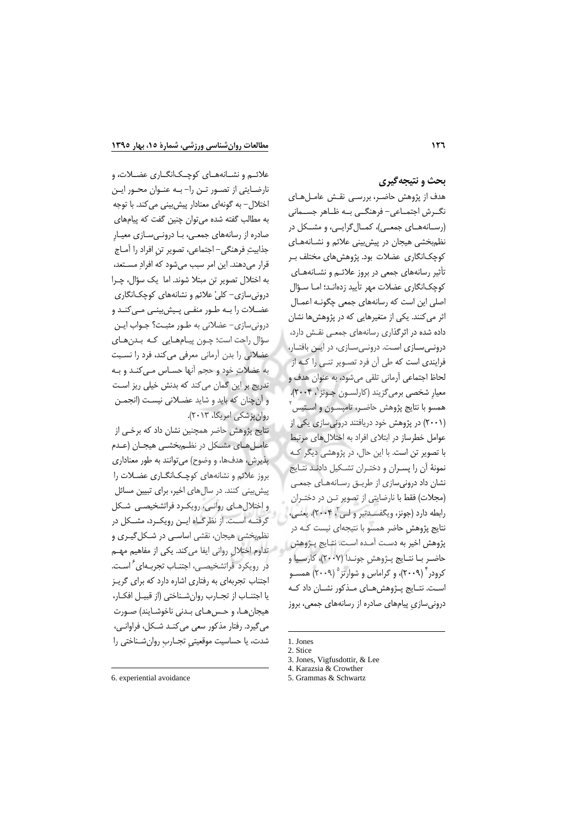علائــم و نشــانههــاي كوچــك|نگــاري عضــلات، و

### بحث و نتیجهگیری

هدف از پژوهش حاضر، بررسی نقش عاملهای نگ رش اجتمــاعي- فرهنگــي بــه ظــاهر جســماني (رسـانههـاي جمعـي)، كمـال۶كرايـي، و مشـكل در نظم بخشی هیجان در پیش بینی علائم و نشانههای کوچکانگاری عضلات بود. پژوهش های مختلف ب تأثیر رسانههای جمعی در بروز علائــم و نشــانههــای كوچكانگارى عضلات مهر تأييد زدهانـد؛ امـا سـؤال اصلی این است که رسانههای جمعی چگونـه اعمـال اثر می کنند. یکی از متغیرهایی که در پژوهش ها نشان داده شده در اثرگذاری رسانههای جمعی نقش دارد، درونمی سازی است. درونمی سازی، در این بافتار، فرایندی است که طی آن فرد تصـویر تنـی را کـه از لحاظ اجتماعي آرماني تلقى مى شود، به عنوان هدف و معيار شخصي برمي گزيند (كارلسـون جـونز`، ۲۰۰۴). همسو با نتايج پژوهش حاضـر، تامپسـون و اسـتيس ً (۲۰۰۱) در پژوهش خود دریافتند درونیسازی یکی از عوامل خطرساز در ابتلای افراد به اختلال های مرتبط با تصویر تن است. با این حال، در پژوهشی دیگر ک نمونهٔ آن را پسـران و دختـران تشـکیل دادنـد نتـایج نشان داد درونی سازی از طریـق رسـانههـای جمعـی (مجلات) فقط با نارضایتی از تصویر تـن در دختـران رابطه دارد (جونز، ویگفسـدتیر و لـی ّ، ۲۰۰۴). یعنـی، نتایج پژوهش حاضر همسو با نتیجهای نیست کـه در پژوهش اخير به دست آمـده اسـت. نتـايج پـژوهش حاضر با نتايج پـژوهش جونـدا (٢٠٠٧)، كارسـيا و کرودر ۲۰۰۹)، و گراماس و شوارتز ۲۰۰۹) همســو است. نتـايج پـژوهشهـاي مـذكور نشـان داد كـه درونی سازی پیامهای صادره از رسانههای جمعی، بروز

نارضایتی از تصور تن را-به عنوان محور این اختلال- به گونهای معنادار پیش بینی می کند. با توجه به مطالب گفته شده می توان چنین گفت که پیامهای صادره از رسانههای جمعی، بـا درونـی سـازی معیـار جذابيتِ فرهنگي- اجتماعي، تصوير تن افراد را آمـاج قرار میدهند. این امر سبب میشود که افرادِ مستعد، به اختلال تصوير تن مبتلا شوند. اما يک سؤال، چـرا درونی سازی- کلیْ علائم و نشانههای کوچکانگاری عضــلات را بــه طــور منفــی پــیش،پینــی مــی کنــد و دروني سازي- عضلاني به طور مثبت؟ جـواب ايـن سؤال راجت است؛ چـون پيـامهـايي كـه بـدنهـاي عضلانی را بدن آرمانی معرفی می کند، فرد را نسبت به عضلاتِ خود و حجم آنها حسـاس مـى كنـد و بـه تدریج بر این گمان میکند که بدنش خیلی ریز است و أن چنان كه بايد و شايد عضلاني نيست (انجمـن روان پزشکی امریکا، ۲۰۱۳).

نتایج پژوهش حاضر همچنین نشان داد که برخی از عاملهای مشکل در نظم بخشبی هیجان (عدم پذیرش، هدفها، و وضوح) میتوانند به طور معناداری بروز علائم و نشانههای کوچکانگاری عضلات را پیش بینی کنند. در سال های اخیر، برای تبیین مسائل و اختلال های روانی، رویک رد فراتشخیصی شکل گرفتـه اسـت. از نظرگـاه ايـن رويكـرد، مشـكل در نظم بخشی هیجان، نقشی اساسی در شکل گیری و تداوم اختلال رواني ايفا ميكند. يكي از مفاهيم مهـم در رویکرد فراتشخیصی، اجتنـاب تجربـهای ٔ اسـت. اجتناب تجربهای به رفتاری اشاره دارد که برای گرین يا اجتنـاب از تجـارب روانشـناختى (از قبيـل افكـار، هيجان هـا، و حـس هـاي بـدني ناخوشـايند) صـورت مي گيرد. رفتار مذكور سعي مي كنـد شـكل، فراوانـي، شدت، یا حساسیت موقعیتی تجـارب روانشـناختی را

<sup>1.</sup> Jones 2. Stice

<sup>3.</sup> Jones. Vigfusdottir, & Lee

<sup>4.</sup> Karazsia & Crowther

<sup>5.</sup> Grammas & Schwartz

<sup>6.</sup> experiential avoidance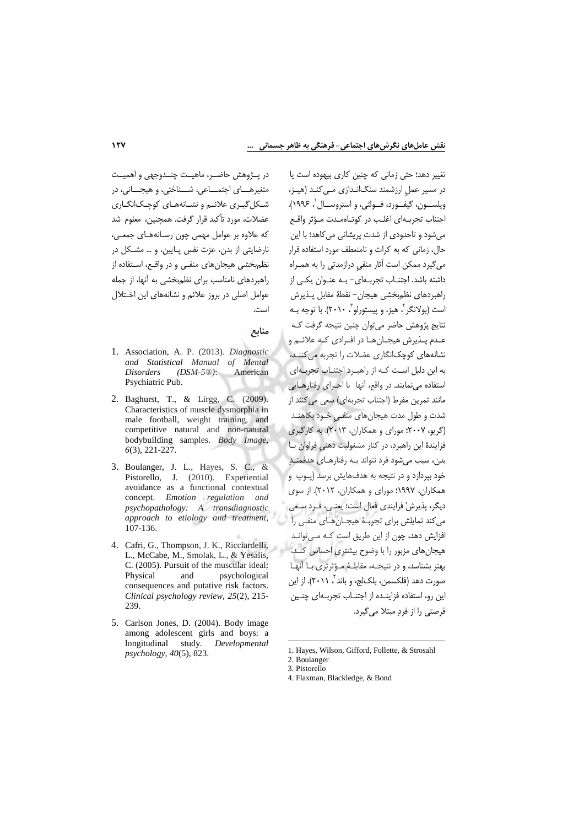در پـژوهش حاضـر، ماهيـت چنـدوجهي و اهميـت متغيرهـــاي اجتمـــاعي، شـــناختي، و هيجـــاني، در شکل گیری علائم و نشانههای کوچکانگاری عضلات، مورد تأكيد قرار گرفت. همچنين، معلوم شد که علاوه بر عوامل مهمی چون رسـانههـای جمعـی، نارضایتی از بدن، عزت نفس پایین، و ... مشکل در نظم بخشی هیجانهای منفی و در واقع، استفاده از راهبردهای نامناسب برای نظمبخشی به آنها، از جمله عوامل اصلی در بروز علائم و نشانههای این اختلال است.

منابع

- 1. Association, A. P. (2013). Diagnostic and Statistical Manual of Mental  $(DSM-5@):$ American **Disorders** Psychiatric Pub.
- 2. Baghurst, T., & Lirgg, C. (2009). Characteristics of muscle dysmorphia in male football, weight training, and competitive natural and non-natural bodybuilding samples. Body Image,  $6(3)$ , 221-227.
- 3. Boulanger, J. L., Hayes, S. C., & Pistorello, J. (2010). Experiential avoidance as a functional contextual concept. Emotion regulation and psychopathology: A transdiagnostic approach to etiology and treatment, 107-136.
- 4. Cafri, G., Thompson, J. K., Ricciardelli, L., McCabe, M., Smolak, L., & Yesalis, C. (2005). Pursuit of the muscular ideal: Physical and psychological consequences and putative risk factors. Clinical psychology review, 25(2), 215-239.
- 5. Carlson Jones, D. (2004). Body image among adolescent girls and boys: a longitudinal study. Developmental  $p$ sychology, 40(5), 823.

تغییر دهد؛ حتی زمانی که چنین کاری بیهوده است یا در مسیر عمل ارزشمند سنگانـدازی مـی کنـد (هیـز، ويلسـون، گيفـورد، فـولتي، و استروسـال '، ١٩٩۶). اجتناب تجربهاى اغلب در كوتاهمدت مؤثر واقع مے شود و تاحدودی از شدت پریشانی می کاهد؛ با این حال، زمانی که به کرات و نامنعطف مورد استفاده قرار می گیرد ممکن است آثار منفی درازمدتی را به همـراه داشته باشد. اجتنــاب تجربــهای- بــه عنــوان یکــی از راهبردهاى نظمبخشى هيجان– نقطهٔ مقابل پـذيرش است (بولانگر ، هیز، و پیستورلو ، ۲۰۱۰). با توجه بـه نتايج پژوهش حاضر مي توان چنين نتيجه گرفت كـه عبدم پیڈیرش هیجیانها در افیرادی کیه علائیم و نشانههای کوچکانگاری عضلات را تجربه می کننـد، به این دلیل است کـه از راهبـرد اجتنـاب تجربـهای استفاده می نمایند. در واقع، آنها با اجـرای رفتارهــایی مانند تمرین مفرط (اجتناب تجربهای) سعی می کنند از شدت و طول مدت هیجانهای منفی خـود بکاهنـد (گریو، ۲۰۰۷؛ مورای و همکاران، ۲۰۱۳). به کارگیری فزایندهٔ این راهبرد، در کنار مشغولیت ذهنی فراوان با بدن، سبب می شود فرد نتواند بـه رفتارهـای هدفمنـد خود بیردازد و در نتیجه به هدفهایش برسد (پـوپ و همکاران، ۱۹۹۷؛ مورای و همکاران، ۲۰۱۲). از سوی ديگر، پذيرشْ فرايندي فعال است؛ يعني، فـرد سـعي می کند تمایلش برای تجربـهٔ هیجـانِهـای منفـی را افزایش دهد، چون از این طریق است کـه مـی توانـد هیجانهای مزبور را با وضوح بیشتری احساس کند، بهتر بشناسد، و در نتیجـه، مقابلـهٔ مـؤثرتری بـا آنهـا صورت دهد (فلكسمن، بلكJج، و باند"، ۲۰۱۱). از اين این رو، استفاده فزاینـده از اجتنـاب تجربـهای چنـین فرصتي را از فرد مبتلا مي گيرد.

1. Hayes, Wilson, Gifford, Follette, & Strosahl

<sup>2.</sup> Boulanger 3. Pistorello

<sup>4.</sup> Flaxman, Blackledge, & Bond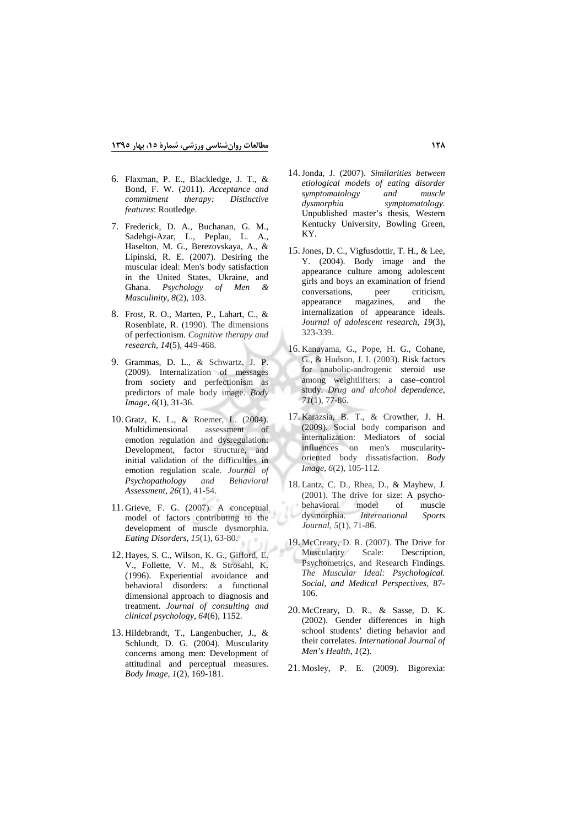- 6. Flaxman, P. E., Blackledge, J. T., & Bond, F. W. (2011). *Acceptance and commitment therapy: Distinctive features*: Routledge.
- 7. Frederick, D. A., Buchanan, G. M., Sadehgi-Azar, L., Peplau, L. A., Haselton, M. G., Berezovskaya, A., & Lipinski, R. E. (2007). Desiring the muscular ideal: Men's body satisfaction in the United States, Ukraine, and<br>Ghana. Psychology of Men & Ghana. *Psychology of Men & Masculinity, 8*(2), 103.
- 8. Frost, R. O., Marten, P., Lahart, C., & Rosenblate, R. (1990). The dimensions of perfectionism. *Cognitive therapy and research, 14*(5), 449-468.
- 9. Grammas, D. L., & Schwartz, J. P. (2009). Internalization of messages from society and perfectionism as predictors of male body image. *Body Image, 6*(1), 31-36.
- 10. Gratz, K. L., & Roemer, L. (2004). Multidimensional assessment of emotion regulation and dysregulation: Development, factor structure, and initial validation of the difficulties in emotion regulation scale. *Journal of Psychopathology and Behavioral Assessment, 26*(1), 41-54.
- 11. Grieve, F. G. (2007). A conceptual model of factors contributing to the development of muscle dysmorphia. *Eating Disorders, 15*(1), 63-80.
- 12. Hayes, S. C., Wilson, K. G., Gifford, E. V., Follette, V. M., & Strosahl, K. (1996). Experiential avoidance and behavioral disorders: a functional dimensional approach to diagnosis and treatment. *Journal of consulting and clinical psychology, 64*(6), 1152.
- 13. Hildebrandt, T., Langenbucher, J., & Schlundt, D. G. (2004). Muscularity concerns among men: Development of attitudinal and perceptual measures. *Body Image, 1*(2), 169-181.
- 14.Jonda, J. (2007). *Similarities between etiological models of eating disorder symptomatology and muscle dysmorphia symptomatology.* Unpublished master's thesis, Western Kentucky University, Bowling Green, KY.
- 15.Jones, D. C., Vigfusdottir, T. H., & Lee, Y. (2004). Body image and the appearance culture among adolescent girls and boys an examination of friend conversations, peer criticism, appearance magazines, and the internalization of appearance ideals. *Journal of adolescent research, 19*(3), 323-339.
- 16. Kanayama, G., Pope, H. G., Cohane, G., & Hudson, J. I. (2003). Risk factors for anabolic-androgenic steroid use among weightlifters: a case–control study. *Drug and alcohol dependence, 71*(1), 77-86.
- 17. Karazsia, B. T., & Crowther, J. H. (2009). Social body comparison and internalization: Mediators of social influences on men's muscularityoriented body dissatisfaction. *Body Image, 6*(2), 105-112.
- 18. Lantz, C. D., Rhea, D., & Mayhew, J. (2001). The drive for size: A psychobehavioral model of muscle dysmorphia. *International Sports Journal, 5*(1), 71-86.
- 19. McCreary, D. R. (2007). The Drive for Muscularity Scale: Description, Psychometrics, and Research Findings. *The Muscular Ideal: Psychological. Social, and Medical Perspectives*, 87- 106.
- 20. McCreary, D. R., & Sasse, D. K. (2002). Gender differences in high school students' dieting behavior and their correlates. *International Journal of Men's Health, 1*(2).
- 21. Mosley, P. E. (2009). Bigorexia: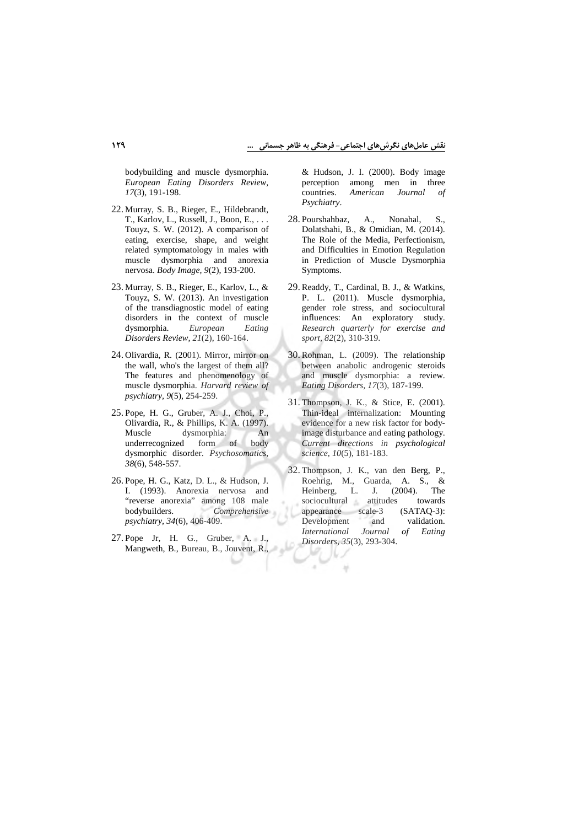bodybuilding and muscle dysmorphia. *European Eating Disorders Review, 17*(3), 191-198.

- 22. Murray, S. B., Rieger, E., Hildebrandt, T., Karlov, L., Russell, J., Boon, E., . . . Touyz, S. W. (2012). A comparison of eating, exercise, shape, and weight related symptomatology in males with muscle dysmorphia and anorexia nervosa. *Body Image, 9*(2), 193-200.
- 23. Murray, S. B., Rieger, E., Karlov, L., & Touyz, S. W. (2013). An investigation of the transdiagnostic model of eating disorders in the context of muscle<br>dysmorphia. European Eating dysmorphia. *European Eating Disorders Review, 21*(2), 160-164.
- 24. Olivardia, R. (2001). Mirror, mirror on the wall, who's the largest of them all? The features and phenomenology of muscle dysmorphia. *Harvard review of psychiatry, 9*(5), 254-259.
- 25. Pope, H. G., Gruber, A. J., Choi, P., Olivardia, R., & Phillips, K. A. (1997). Muscle dysmorphia: An underrecognized form of body dysmorphic disorder. *Psychosomatics, 38*(6), 548-557.
- 26. Pope, H. G., Katz, D. L., & Hudson, J. I. (1993). Anorexia nervosa and "reverse anorexia" among 108 male bodybuilders. *Comprehensive psychiatry, 34*(6), 406-409.
- 27. Pope Jr, H. G., Gruber, A. J., Mangweth, B., Bureau, B., Jouvent, R.,

& Hudson, J. I. (2000). Body image perception among men in three countries. *American Journal of Psychiatry*.

- 28. Pourshahbaz, A., Nonahal, S., Dolatshahi, B., & Omidian, M. (2014). The Role of the Media, Perfectionism, and Difficulties in Emotion Regulation in Prediction of Muscle Dysmorphia Symptoms.
- 29. Readdy, T., Cardinal, B. J., & Watkins, P. L. (2011). Muscle dysmorphia, gender role stress, and sociocultural influences: An exploratory study. *Research quarterly for exercise and sport, 82*(2), 310-319.
- 30. Rohman, L. (2009). The relationship between anabolic androgenic steroids and muscle dysmorphia: a review. *Eating Disorders, 17*(3), 187-199.
- 31. Thompson, J. K., & Stice, E. (2001). Thin-ideal internalization: Mounting evidence for a new risk factor for bodyimage disturbance and eating pathology. *Current directions in psychological science, 10*(5), 181-183.
- 32. Thompson, J. K., van den Berg, P., Roehrig, M., Guarda, A. S., & Heinberg, L. J. (2004). The sociocultural attitudes towards appearance scale-3 (SATAQ-3): Development and validation. *International Journal of Eating Disorders, 35*(3), 293-304.

ij